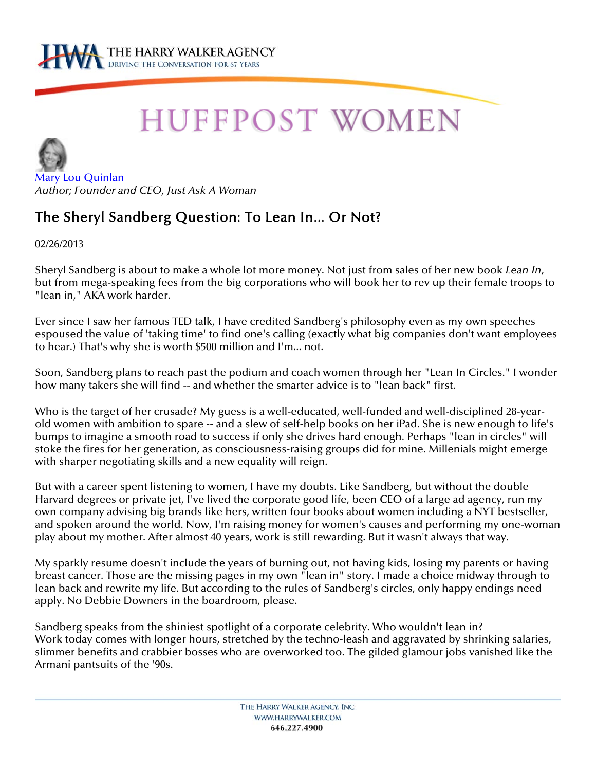## **HUFFPOST WOMEN**

Mary Lou Quinlan *Author; Founder and CEO, Just Ask A Woman* 

## The Sheryl Sandberg Question: To Lean In... Or Not?

02/26/2013

Sheryl Sandberg is about to make a whole lot more money. Not just from sales of her new book *Lean In*, but from mega-speaking fees from the big corporations who will book her to rev up their female troops to "lean in," AKA work harder.

Ever since I saw her famous TED talk, I have credited Sandberg's philosophy even as my own speeches espoused the value of 'taking time' to find one's calling (exactly what big companies don't want employees to hear.) That's why she is worth \$500 million and I'm... not.

Soon, Sandberg plans to reach past the podium and coach women through her "Lean In Circles." I wonder how many takers she will find -- and whether the smarter advice is to "lean back" first.

Who is the target of her crusade? My guess is a well-educated, well-funded and well-disciplined 28-yearold women with ambition to spare -- and a slew of self-help books on her iPad. She is new enough to life's bumps to imagine a smooth road to success if only she drives hard enough. Perhaps "lean in circles" will stoke the fires for her generation, as consciousness-raising groups did for mine. Millenials might emerge with sharper negotiating skills and a new equality will reign.

But with a career spent listening to women, I have my doubts. Like Sandberg, but without the double Harvard degrees or private jet, I've lived the corporate good life, been CEO of a large ad agency, run my own company advising big brands like hers, written four books about women including a NYT bestseller, and spoken around the world. Now, I'm raising money for women's causes and performing my one-woman play about my mother. After almost 40 years, work is still rewarding. But it wasn't always that way.

My sparkly resume doesn't include the years of burning out, not having kids, losing my parents or having breast cancer. Those are the missing pages in my own "lean in" story. I made a choice midway through to lean back and rewrite my life. But according to the rules of Sandberg's circles, only happy endings need apply. No Debbie Downers in the boardroom, please.

Sandberg speaks from the shiniest spotlight of a corporate celebrity. Who wouldn't lean in? Work today comes with longer hours, stretched by the techno-leash and aggravated by shrinking salaries, slimmer benefits and crabbier bosses who are overworked too. The gilded glamour jobs vanished like the Armani pantsuits of the '90s.